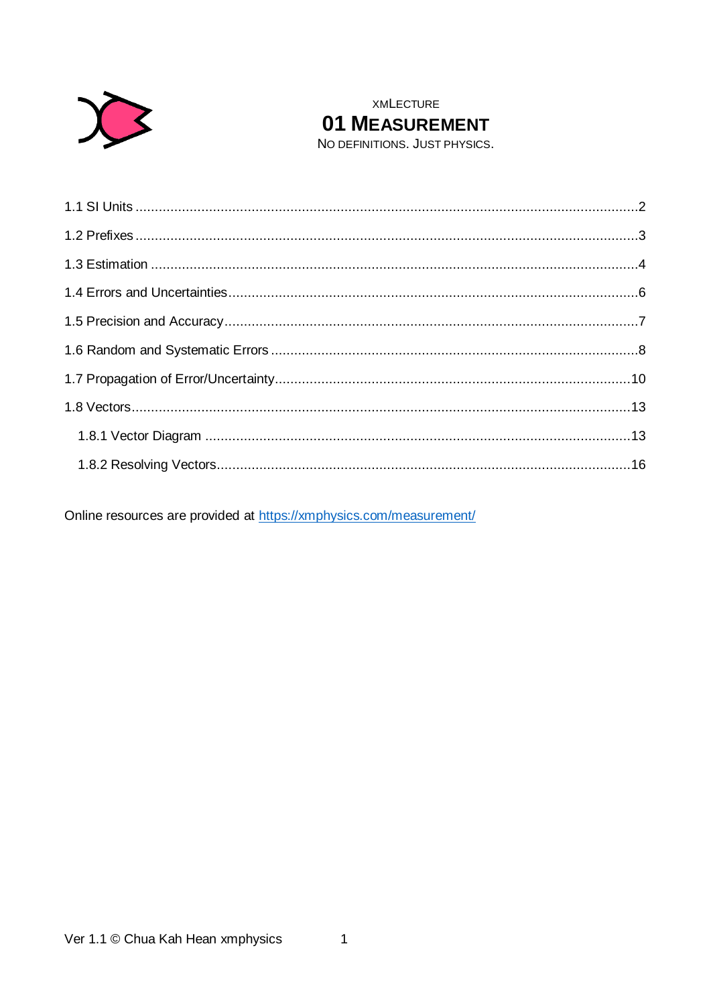

**XMLECTURE** 01 MEASUREMENT

NO DEFINITIONS. JUST PHYSICS.

Online resources are provided at https://xmphysics.com/measurement/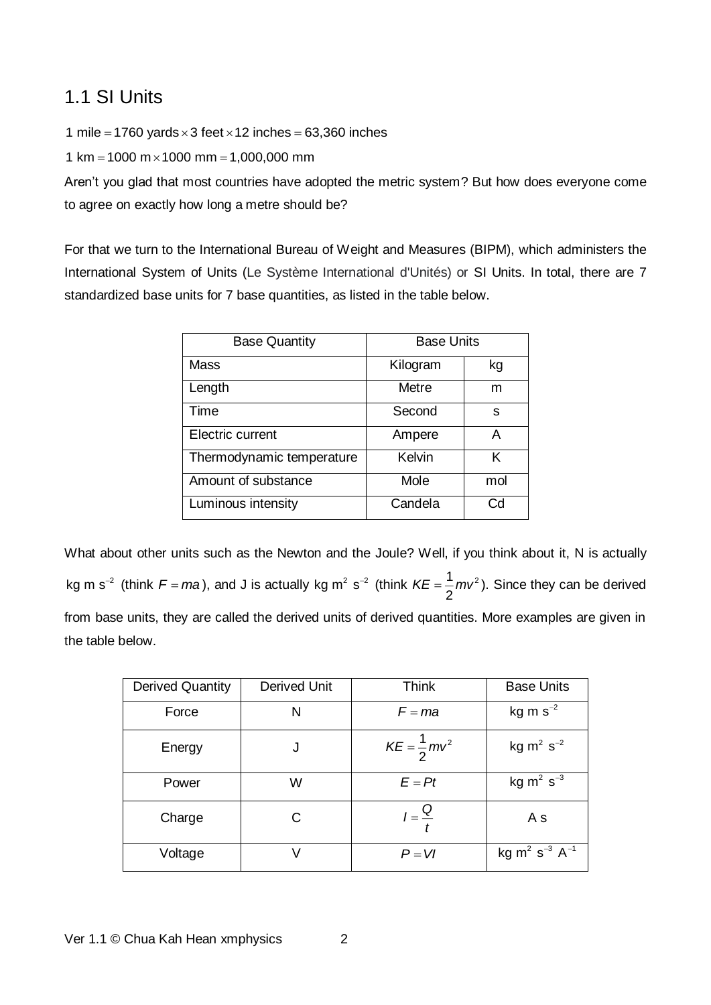# <span id="page-1-0"></span>1.1 SI Units

1 mile = 1760 yards  $\times$  3 feet  $\times$  12 inches = 63,360 inches

1 km = 1000 m $\times$  1000 mm = 1,000,000 mm

Aren't you glad that most countries have adopted the metric system? But how does everyone come to agree on exactly how long a metre should be?

For that we turn to the International Bureau of Weight and Measures (BIPM), which administers the International System of Units (Le Système International d'Unités) or SI Units. In total, there are 7 standardized base units for 7 base quantities, as listed in the table below.

| <b>Base Quantity</b>      | <b>Base Units</b> |     |
|---------------------------|-------------------|-----|
| <b>Mass</b>               | Kilogram          | kg  |
| Length                    | Metre             | m   |
| Time                      | Second            | s   |
| Electric current          | Ampere            | А   |
| Thermodynamic temperature | Kelvin            | ĸ   |
| Amount of substance       | Mole              | mol |
| Luminous intensity        | Candela           | Cd  |

What about other units such as the Newton and the Joule? Well, if you think about it, N is actually kg m s<sup>-2</sup> (think  $F = ma$ ), and J is actually kg m<sup>2</sup> s<sup>-2</sup> (think  $KE = \frac{1}{2}mv^2$ 2  $KE = \frac{1}{6}mv^2$ ). Since they can be derived from base units, they are called the derived units of derived quantities. More examples are given in the table below.

| <b>Derived Quantity</b> | Derived Unit | <b>Think</b>           | <b>Base Units</b>                                 |
|-------------------------|--------------|------------------------|---------------------------------------------------|
| Force                   | N            | $F = ma$               | kg m $s^{-2}$                                     |
| Energy                  | J            | $KE = \frac{1}{2}mv^2$ | $kg \, m^2 \, s^{-2}$                             |
| Power                   | W            | $E = Pt$               | kg $m^2$ s <sup>-3</sup>                          |
| Charge                  | С            | $I=\frac{Q}{t}$        | A s                                               |
| Voltage                 |              | $P = VI$               | kg m <sup>2</sup> s <sup>-3</sup> A <sup>-1</sup> |

Ver 1.1 © Chua Kah Hean xmphysics 2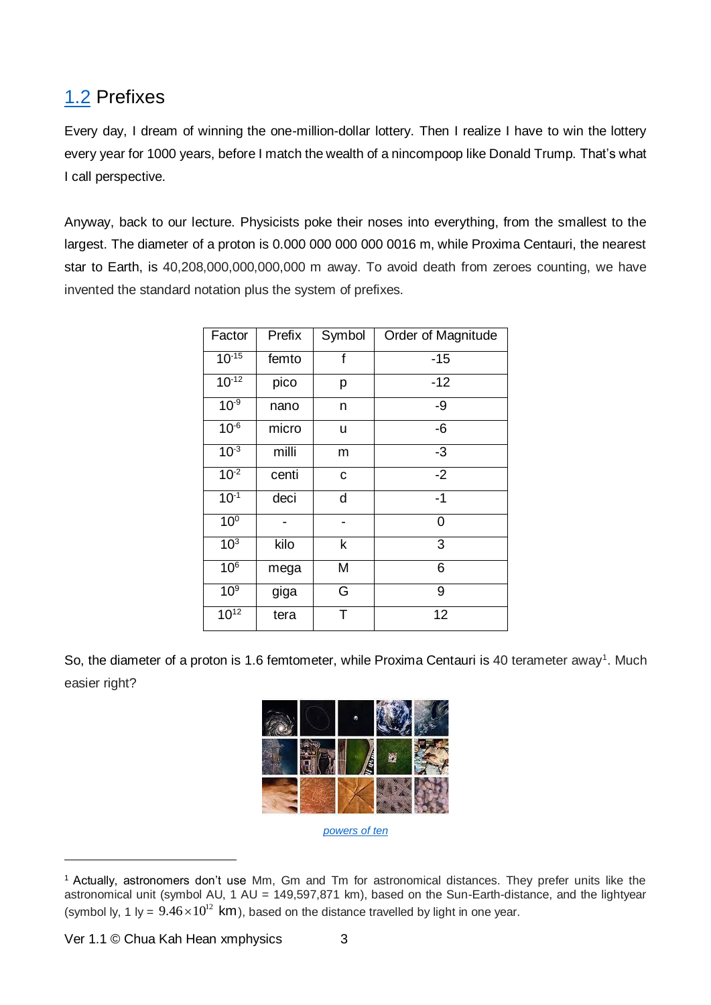# <span id="page-2-0"></span>[1.2](http://www.xmphysics.com/1.2) Prefixes

Every day, I dream of winning the one-million-dollar lottery. Then I realize I have to win the lottery every year for 1000 years, before I match the wealth of a nincompoop like Donald Trump. That's what I call perspective.

Anyway, back to our lecture. Physicists poke their noses into everything, from the smallest to the largest. The diameter of a proton is 0.000 000 000 000 0016 m, while Proxima Centauri, the nearest star to Earth, is 40,208,000,000,000,000 m away. To avoid death from zeroes counting, we have invented the standard notation plus the system of prefixes.

| Factor          | Prefix | Symbol | Order of Magnitude |
|-----------------|--------|--------|--------------------|
| $10^{-15}$      | femto  | f      | $-15$              |
| $10^{-12}$      | pico   | p      | $-12$              |
| $10^{-9}$       | nano   | n      | -9                 |
| $10^{-6}$       | micro  | u      | -6                 |
| $10^{-3}$       | milli  | m      | -3                 |
| $10^{-2}$       | centi  | с      | $-2$               |
| $10^{-1}$       | deci   | d      | $-1$               |
| 10 <sup>0</sup> |        |        | 0                  |
| 10 <sup>3</sup> | kilo   | k      | 3                  |
| 10 <sup>6</sup> | mega   | M      | 6                  |
| 10 <sup>9</sup> | giga   | G      | 9                  |
| $10^{12}$       | tera   | T      | 12                 |

So, the diameter of a proton is 1.6 femtometer, while Proxima Centauri is 40 terameter away<sup>1</sup>. Much easier right?



*[powers of ten](http://www.xmphysics.com/1.2)*

Ver 1.1 © Chua Kah Hean xmphysics 3

-

<sup>1</sup> Actually, astronomers don't use Mm, Gm and Tm for astronomical distances. They prefer units like the astronomical unit (symbol AU, 1 AU = 149,597,871 km), based on the Sun-Earth-distance, and the lightyear (symbol ly, 1 ly =  $9.46 \times 10^{12}$  km), based on the distance travelled by light in one year.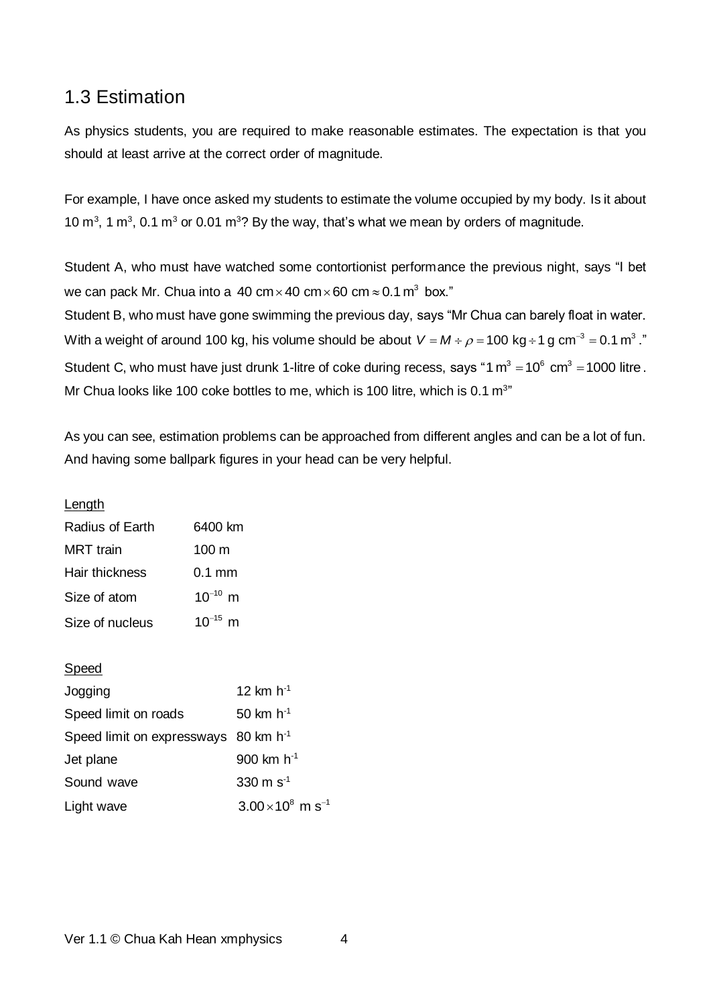## <span id="page-3-0"></span>1.3 Estimation

As physics students, you are required to make reasonable estimates. The expectation is that you should at least arrive at the correct order of magnitude.

For example, I have once asked my students to estimate the volume occupied by my body. Is it about 10  $\mathrm{m}^3$ , 1  $\mathrm{m}^3$ , 0.1  $\mathrm{m}^3$  or 0.01  $\mathrm{m}^3$ ? By the way, that's what we mean by orders of magnitude.

Student A, who must have watched some contortionist performance the previous night, says "I bet we can pack Mr. Chua into a 40 cm $\times$ 40 cm $\times$ 60 cm $\approx$ 0.1 m $^3$  box." Student B, who must have gone swimming the previous day, says "Mr Chua can barely float in water. With a weight of around 100 kg, his volume should be about  $\,$  V = M  $\div$   $\rho$  =100 kg  $\div$  1 g cm  $^3$  = 0.1 m $^3$  ." Student C, who must have just drunk 1-litre of coke during recess, says "1  $m^3 = 10^6$  cm<sup>3</sup> = 1000 litre . Mr Chua looks like 100 coke bottles to me, which is 100 litre, which is 0.1  $m<sup>3</sup>$ 

As you can see, estimation problems can be approached from different angles and can be a lot of fun. And having some ballpark figures in your head can be very helpful.

Length

| Radius of Earth  | 6400 km         |
|------------------|-----------------|
| <b>MRT</b> train | $100 \text{ m}$ |
| Hair thickness   | 0.1 mm          |
| Size of atom     | $10^{-10}$ m    |
| Size of nucleus  | $10^{-15}$ m    |

Speed

| Jogging                                          | 12 km $h^{-1}$                     |
|--------------------------------------------------|------------------------------------|
| Speed limit on roads                             | 50 km $h^{-1}$                     |
| Speed limit on expressways 80 km h <sup>-1</sup> |                                    |
| Jet plane                                        | 900 km $h^{-1}$                    |
| Sound wave                                       | 330 m $s^{-1}$                     |
| Light wave                                       | $3.00\times10^8$ m s <sup>-1</sup> |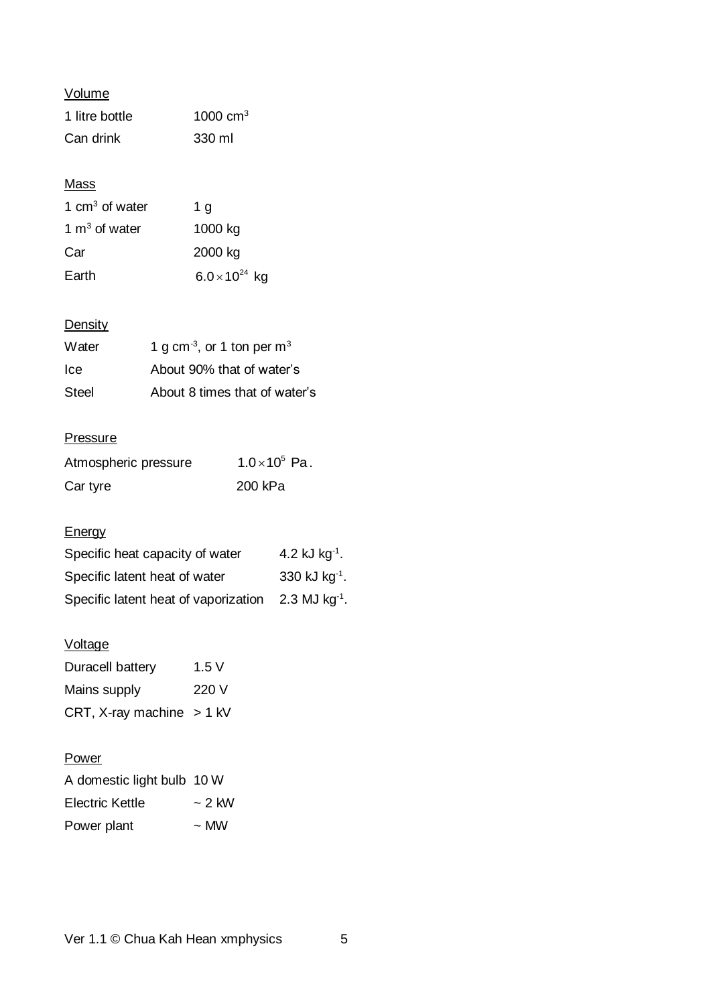Volume

| 1 litre bottle | 1000 $cm3$ |
|----------------|------------|
| Can drink      | 330 ml     |

#### **Mass**

| 1 $cm3$ of water | 1 $q$                   |
|------------------|-------------------------|
| 1 $m3$ of water  | 1000 kg                 |
| Car              | 2000 kg                 |
| Earth            | $6.0 \times 10^{24}$ kg |

### **Density**

| Water        | 1 g cm <sup>-3</sup> , or 1 ton per m <sup>3</sup> |
|--------------|----------------------------------------------------|
| Ice.         | About 90% that of water's                          |
| <b>Steel</b> | About 8 times that of water's                      |

#### **Pressure**

| Atmospheric pressure | $1.0 \times 10^5$ Pa. |
|----------------------|-----------------------|
| Car tyre             | 200 kPa               |

### **Energy**

| Specific heat capacity of water      | 4.2 kJ $kg^{-1}$ .          |
|--------------------------------------|-----------------------------|
| Specific latent heat of water        | 330 kJ $kg^{-1}$ .          |
| Specific latent heat of vaporization | $2.3$ MJ kg <sup>-1</sup> . |

#### Voltage

| Duracell battery            | 1.5V |
|-----------------------------|------|
| Mains supply                | 220V |
| CRT, X-ray machine $> 1$ kV |      |

#### **Power**

| A domestic light bulb 10 W |             |
|----------------------------|-------------|
| Electric Kettle            | $\sim$ 2 kW |
| Power plant                | $\sim$ MW   |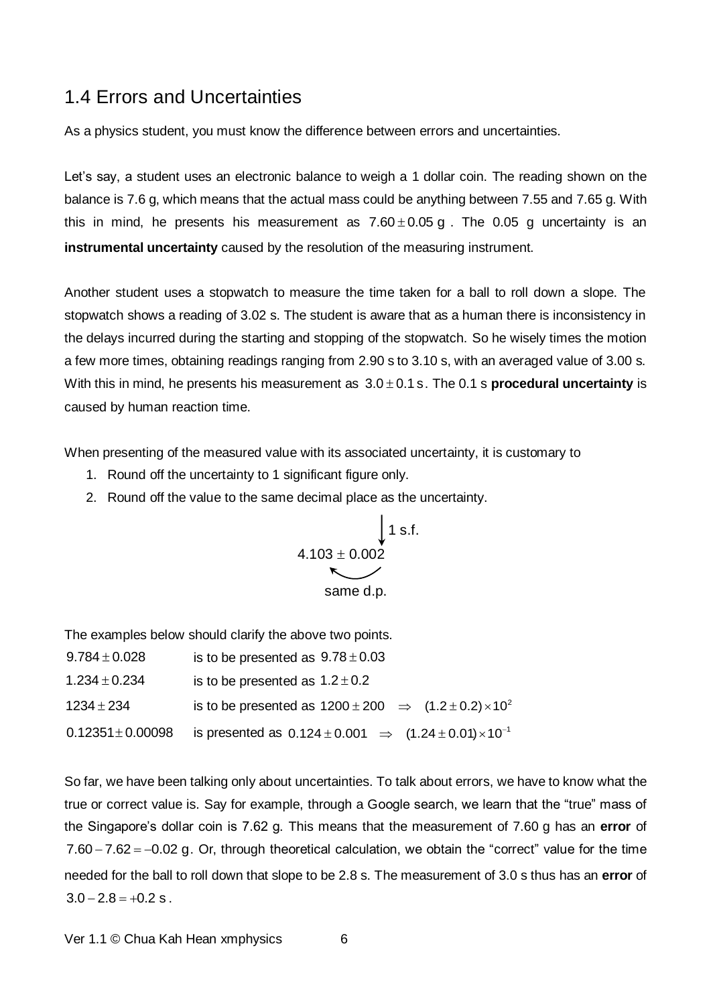#### <span id="page-5-0"></span>1.4 Errors and Uncertainties

As a physics student, you must know the difference between errors and uncertainties.

Let's say, a student uses an electronic balance to weigh a 1 dollar coin. The reading shown on the balance is 7.6 g, which means that the actual mass could be anything between 7.55 and 7.65 g. With this in mind, he presents his measurement as  $7.60 \pm 0.05$  g. The 0.05 g uncertainty is an **instrumental uncertainty** caused by the resolution of the measuring instrument.

Another student uses a stopwatch to measure the time taken for a ball to roll down a slope. The stopwatch shows a reading of 3.02 s. The student is aware that as a human there is inconsistency in the delays incurred during the starting and stopping of the stopwatch. So he wisely times the motion a few more times, obtaining readings ranging from 2.90 s to 3.10 s, with an averaged value of 3.00 s. With this in mind, he presents his measurement as  $3.0 \pm 0.1$  s. The 0.1 s **procedural uncertainty** is caused by human reaction time.

When presenting of the measured value with its associated uncertainty, it is customary to

- 1. Round off the uncertainty to 1 significant figure only.
- 2. Round off the value to the same decimal place as the uncertainty.

$$
\begin{array}{c}\n\downarrow\n1 s.f.\n4.103 \pm 0.002\nsame d.p.\n\end{array}
$$

The examples below should clarify the above two points.

| $9.784 \pm 0.028$     | is to be presented as $9.78 \pm 0.03$                                            |
|-----------------------|----------------------------------------------------------------------------------|
| $1.234 \pm 0.234$     | is to be presented as $1.2 \pm 0.2$                                              |
| $1234 \pm 234$        | is to be presented as $1200 \pm 200 \Rightarrow (1.2 \pm 0.2) \times 10^2$       |
| $0.12351 \pm 0.00098$ | is presented as $0.124 \pm 0.001$ $\Rightarrow$ $(1.24 \pm 0.01) \times 10^{-1}$ |

So far, we have been talking only about uncertainties. To talk about errors, we have to know what the true or correct value is. Say for example, through a Google search, we learn that the "true" mass of the Singapore's dollar coin is 7.62 g. This means that the measurement of 7.60 g has an **error** of  $7.60 - 7.62 = -0.02$  g. Or, through theoretical calculation, we obtain the "correct" value for the time needed for the ball to roll down that slope to be 2.8 s. The measurement of 3.0 s thus has an **error** of  $3.0 - 2.8 = +0.2$  s.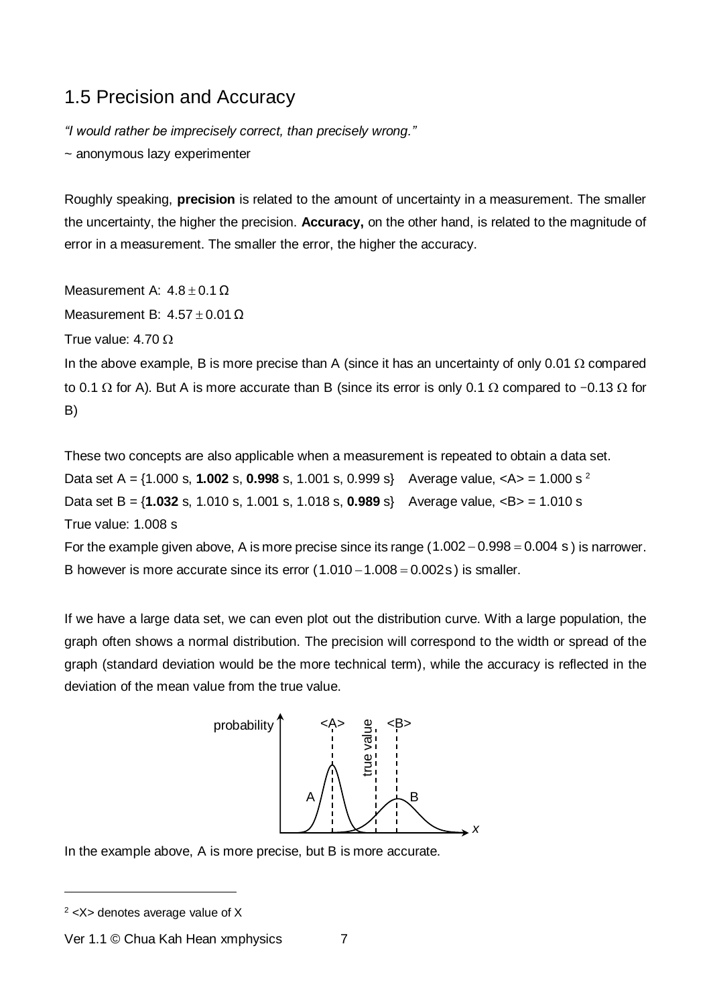# <span id="page-6-0"></span>1.5 Precision and Accuracy

*"I would rather be imprecisely correct, than precisely wrong."*

~ anonymous lazy experimenter

Roughly speaking, **precision** is related to the amount of uncertainty in a measurement. The smaller the uncertainty, the higher the precision. **Accuracy,** on the other hand, is related to the magnitude of error in a measurement. The smaller the error, the higher the accuracy.

Measurement A:  $4.8 \pm 0.1$   $\Omega$ Measurement B:  $4.57 \pm 0.01$   $\Omega$ True value: 4.70 In the above example, B is more precise than A (since it has an uncertainty of only 0.01  $\Omega$  compared to 0.1  $\Omega$  for A). But A is more accurate than B (since its error is only 0.1  $\Omega$  compared to −0.13  $\Omega$  for B)

These two concepts are also applicable when a measurement is repeated to obtain a data set. Data set A = {1.000 s, **1.002** s, **0.998** s, 1.001 s, 0.999 s} Average value, <A> = 1.000 s <sup>2</sup> Data set B = {**1.032** s, 1.010 s, 1.001 s, 1.018 s, **0.989** s} Average value, <B> = 1.010 s True value: 1.008 s For the example given above, A is more precise since its range  $(1.002 - 0.998 = 0.004 \text{ s})$  is narrower. B however is more accurate since its error  $(1.010 - 1.008 = 0.002s)$  is smaller.

If we have a large data set, we can even plot out the distribution curve. With a large population, the graph often shows a normal distribution. The precision will correspond to the width or spread of the graph (standard deviation would be the more technical term), while the accuracy is reflected in the deviation of the mean value from the true value.



In the example above, A is more precise, but B is more accurate.

-

 $2$  <X> denotes average value of X

Ver 1.1 © Chua Kah Hean xmphysics 7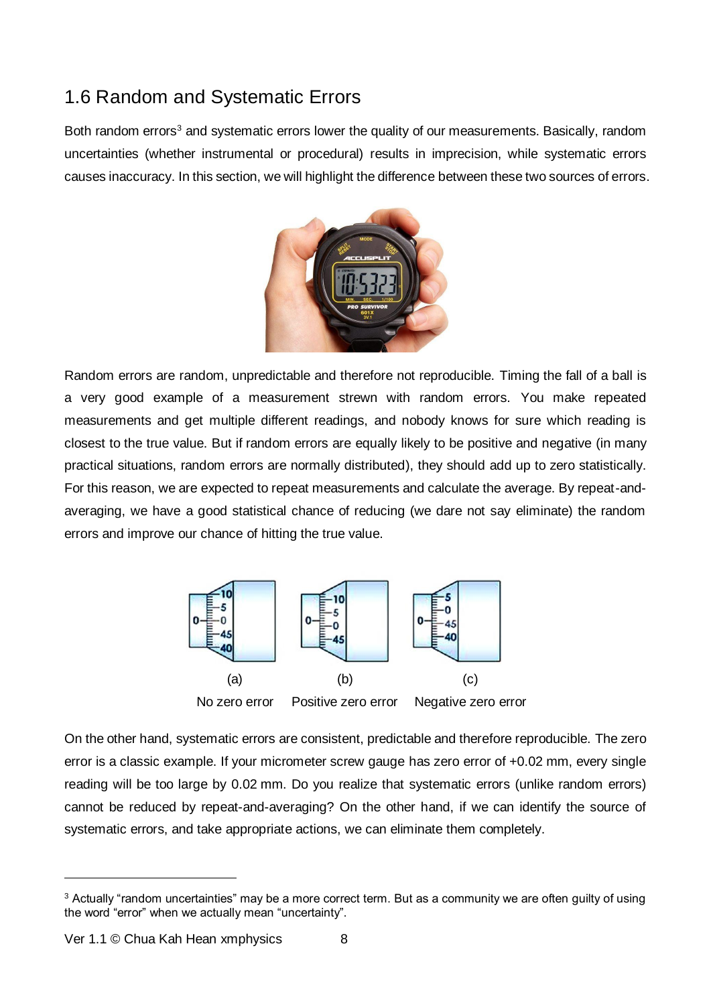# <span id="page-7-0"></span>1.6 Random and Systematic Errors

Both random errors<sup>3</sup> and systematic errors lower the quality of our measurements. Basically, random uncertainties (whether instrumental or procedural) results in imprecision, while systematic errors causes inaccuracy. In this section, we will highlight the difference between these two sources of errors.



Random errors are random, unpredictable and therefore not reproducible. Timing the fall of a ball is a very good example of a measurement strewn with random errors. You make repeated measurements and get multiple different readings, and nobody knows for sure which reading is closest to the true value. But if random errors are equally likely to be positive and negative (in many practical situations, random errors are normally distributed), they should add up to zero statistically. For this reason, we are expected to repeat measurements and calculate the average. By repeat-andaveraging, we have a good statistical chance of reducing (we dare not say eliminate) the random errors and improve our chance of hitting the true value.



On the other hand, systematic errors are consistent, predictable and therefore reproducible. The zero error is a classic example. If your micrometer screw gauge has zero error of +0.02 mm, every single reading will be too large by 0.02 mm. Do you realize that systematic errors (unlike random errors) cannot be reduced by repeat-and-averaging? On the other hand, if we can identify the source of systematic errors, and take appropriate actions, we can eliminate them completely.

-

<sup>3</sup> Actually "random uncertainties" may be a more correct term. But as a community we are often guilty of using the word "error" when we actually mean "uncertainty".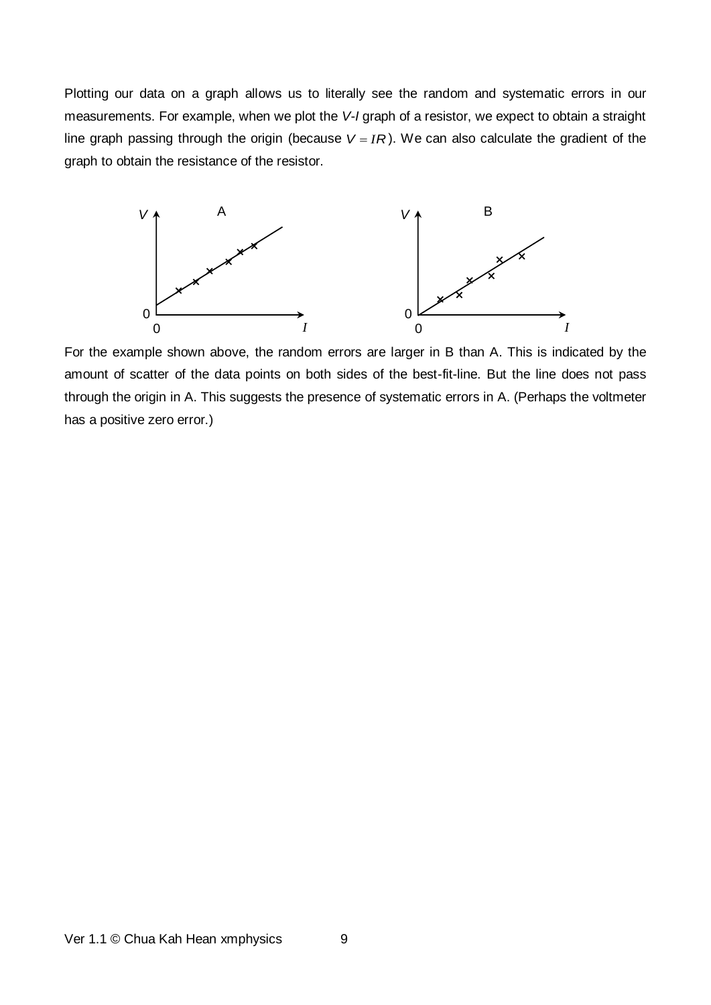Plotting our data on a graph allows us to literally see the random and systematic errors in our measurements. For example, when we plot the *V*-*I* graph of a resistor, we expect to obtain a straight line graph passing through the origin (because  $V = IR$ ). We can also calculate the gradient of the graph to obtain the resistance of the resistor.



For the example shown above, the random errors are larger in B than A. This is indicated by the amount of scatter of the data points on both sides of the best-fit-line. But the line does not pass through the origin in A. This suggests the presence of systematic errors in A. (Perhaps the voltmeter has a positive zero error.)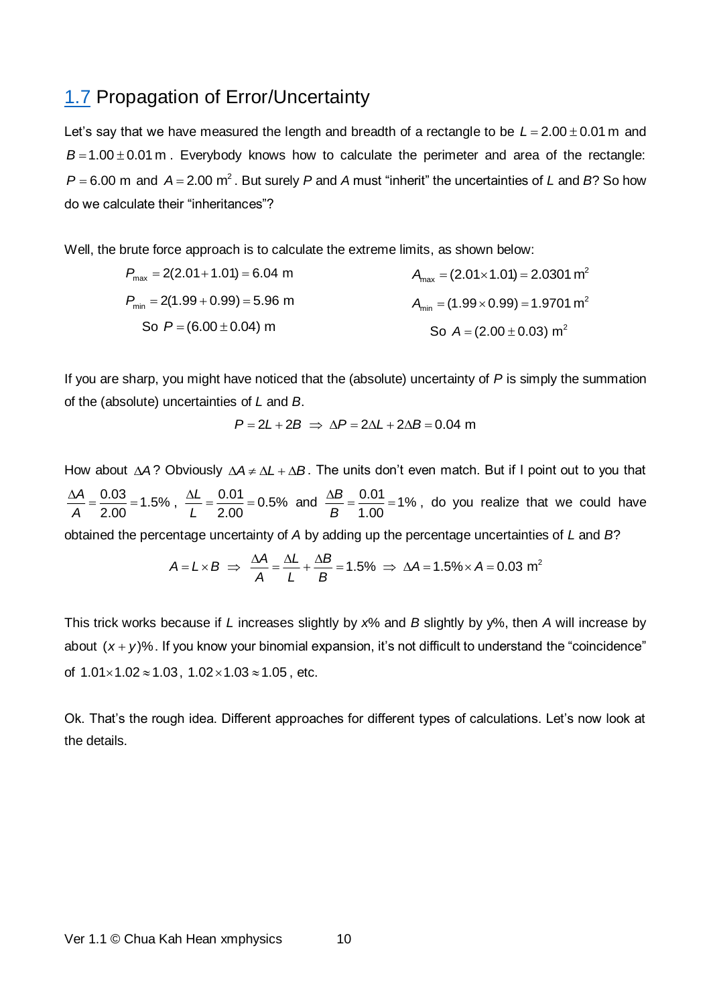#### <span id="page-9-0"></span>[1.7](http://www.xmphysics.com/1.7) Propagation of Error/Uncertainty

Let's say that we have measured the length and breadth of a rectangle to be  $L = 2.00 \pm 0.01$  m and  $B = 1.00 \pm 0.01$  m . Everybody knows how to calculate the perimeter and area of the rectangle:  $P$  = 6.00 m and  $A$  = 2.00 m<sup>2</sup>. But surely  $P$  and  $A$  must "inherit" the uncertainties of *L* and *B*? So how do we calculate their "inheritances"?

Well, the brute force approach is to calculate the extreme limits, as shown below:

$$
P_{\text{max}} = 2(2.01 + 1.01) = 6.04 \text{ m}
$$
\n
$$
P_{\text{min}} = 2(1.99 + 0.99) = 5.96 \text{ m}
$$
\n
$$
A_{\text{min}} = (1.99 \times 0.99) = 1.9701 \text{ m}^2
$$
\nSo  $P = (6.00 \pm 0.04) \text{ m}$ \nSo  $A = (2.00 \pm 0.03) \text{ m}^2$ 

If you are sharp, you might have noticed that the (absolute) uncertainty of *P* is simply the summation of the (absolute) uncertainties of *L* and *B*.

$$
P = 2L + 2B \implies \Delta P = 2\Delta L + 2\Delta B = 0.04 \text{ m}
$$

How about  $\Delta A$ ? Obviously  $\Delta A \neq \Delta L + \Delta B$ . The units don't even match. But if I point out to you that  $\frac{0.03}{-0.5\%}$  = 1.5% 2.00 *A A*  $\frac{\Delta A}{\Delta t} = \frac{0.03}{0.000} = 1.5\%$ ,  $\frac{\Delta L}{\Delta t} = \frac{0.01}{0.000} = 0.5\%$ 2.00 *L L*  $\frac{\Delta L}{I} = \frac{0.01}{0.00} = 0.5\%$  and  $\frac{\Delta B}{B} = \frac{0.01}{1.00} = 1\%$ 1.00 *B B*  $\frac{\Delta B}{\Delta} = \frac{0.01}{1.00} = 1\%$ , do you realize that we could have

obtained the percentage uncertainty of *A* by adding up the percentage uncertainties of *L* and *B*?

$$
A = L \times B \implies \frac{\Delta A}{A} = \frac{\Delta L}{L} + \frac{\Delta B}{B} = 1.5\% \implies \Delta A = 1.5\% \times A = 0.03 \text{ m}^2
$$

This trick works because if *L* increases slightly by *x*% and *B* slightly by y%, then *A* will increase by about  $(x + y)$ %. If you know your binomial expansion, it's not difficult to understand the "coincidence" of  $1.01 \times 1.02 \approx 1.03$ ,  $1.02 \times 1.03 \approx 1.05$ , etc.

Ok. That's the rough idea. Different approaches for different types of calculations. Let's now look at the details.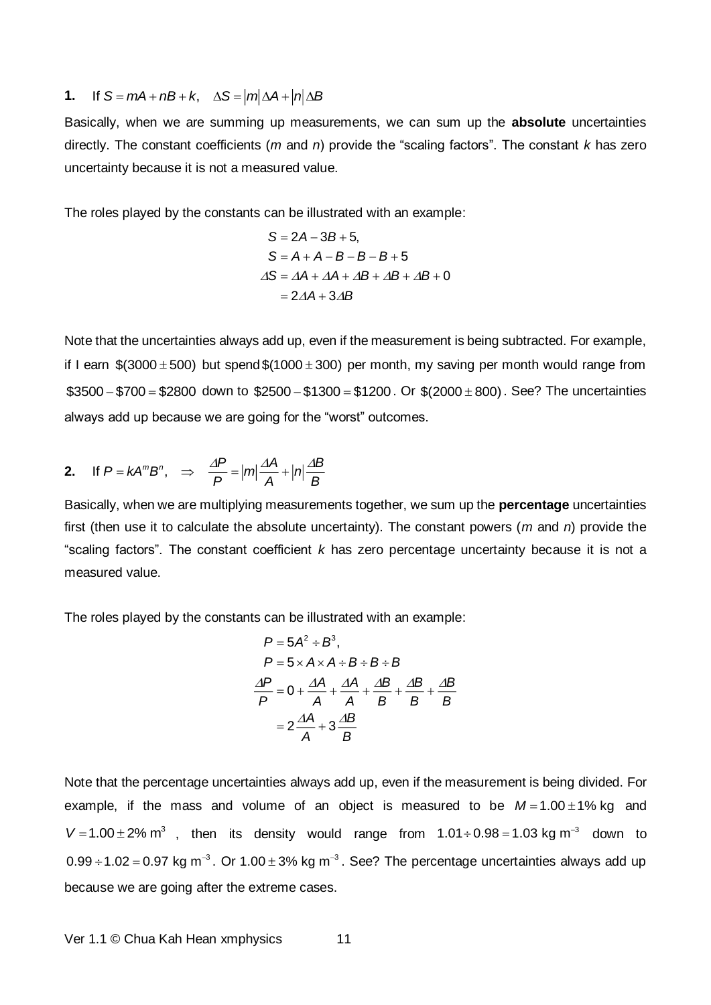#### **1.** If  $S = mA + nB + k$ ,  $\Delta S = |m| \Delta A + |n| \Delta B$

Basically, when we are summing up measurements, we can sum up the **absolute** uncertainties directly. The constant coefficients (*m* and *n*) provide the "scaling factors". The constant *k* has zero uncertainty because it is not a measured value.

The roles played by the constants can be illustrated with an example:

$$
S = 2A - 3B + 5,
$$
  
\n
$$
S = A + A - B - B - B + 5
$$
  
\n
$$
\Delta S = \Delta A + \Delta A + \Delta B + \Delta B + \Delta B + 0
$$
  
\n
$$
= 2\Delta A + 3\Delta B
$$

Note that the uncertainties always add up, even if the measurement is being subtracted. For example, if I earn  $$(3000 ± 500)$  but spend $$(1000 ± 300)$  per month, my saving per month would range from  $$3500 - $700 = $2800$  down to  $$2500 - $1300 = $1200$ . Or  $$(2000 \pm 800)$ . See? The uncertainties always add up because we are going for the "worst" outcomes.

2. If 
$$
P = kA^m B^n
$$
,  $\Rightarrow \frac{\Delta P}{P} = |m| \frac{\Delta A}{A} + |n| \frac{\Delta B}{B}$ 

Basically, when we are multiplying measurements together, we sum up the **percentage** uncertainties first (then use it to calculate the absolute uncertainty). The constant powers (*m* and *n*) provide the "scaling factors". The constant coefficient *k* has zero percentage uncertainty because it is not a measured value.

The roles played by the constants can be illustrated with an example:

$$
P = 5A^2 \div B^3,
$$
  
\n
$$
P = 5 \times A \times A \div B \div B \div B
$$
  
\n
$$
\frac{\Delta P}{P} = 0 + \frac{\Delta A}{A} + \frac{\Delta A}{A} + \frac{\Delta B}{B} + \frac{\Delta B}{B} + \frac{\Delta B}{B}
$$
  
\n
$$
= 2\frac{\Delta A}{A} + 3\frac{\Delta B}{B}
$$

Note that the percentage uncertainties always add up, even if the measurement is being divided. For example, if the mass and volume of an object is measured to be  $M = 1.00 \pm 1\%$  kg and  $V = 1.00 \pm 2\%$  m<sup>3</sup>, then its density would range from  $1.01 \div 0.98 = 1.03$  kg m<sup>-3</sup> down to 0.99 ÷ 1.02 = 0.97 kg m<sup>-3</sup>. Or 1.00 ± 3% kg m<sup>-3</sup>. See? The percentage uncertainties always add up because we are going after the extreme cases.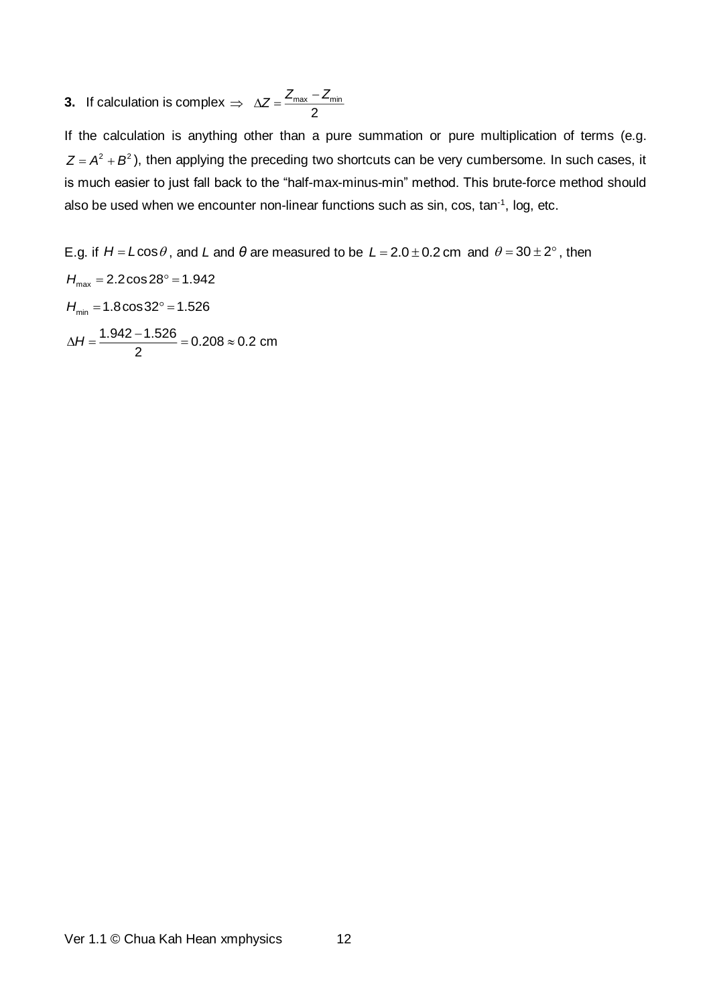**3.** If calculation is complex  $\Rightarrow \Delta Z = \frac{-\text{max}}{2}$  $\Rightarrow \Delta Z = \frac{Z_{\text{max}} - Z_{\text{max}}}{Z}$ 

If the calculation is anything other than a pure summation or pure multiplication of terms (e.g.  $Z = A^2 + B^2$  ), then applying the preceding two shortcuts can be very cumbersome. In such cases, it is much easier to just fall back to the "half-max-minus-min" method. This brute-force method should also be used when we encounter non-linear functions such as sin, cos, tan<sup>-1</sup>, log, etc.

E.g. if  $H = L \cos \theta$ , and L and  $\theta$  are measured to be  $L = 2.0 \pm 0.2$  cm and  $\theta = 30 \pm 2^{\circ}$ , then *H*max 2.2cos28 1.942  $H_{\min} = 1.8 \cos 32^\circ = 1.526$  $\frac{1.942-1.526}{-}$  = 0.208  $\approx$  0.2 cm 2  $\Delta H = \frac{1.5 + 2 - 1.526}{0.208} = 0.208$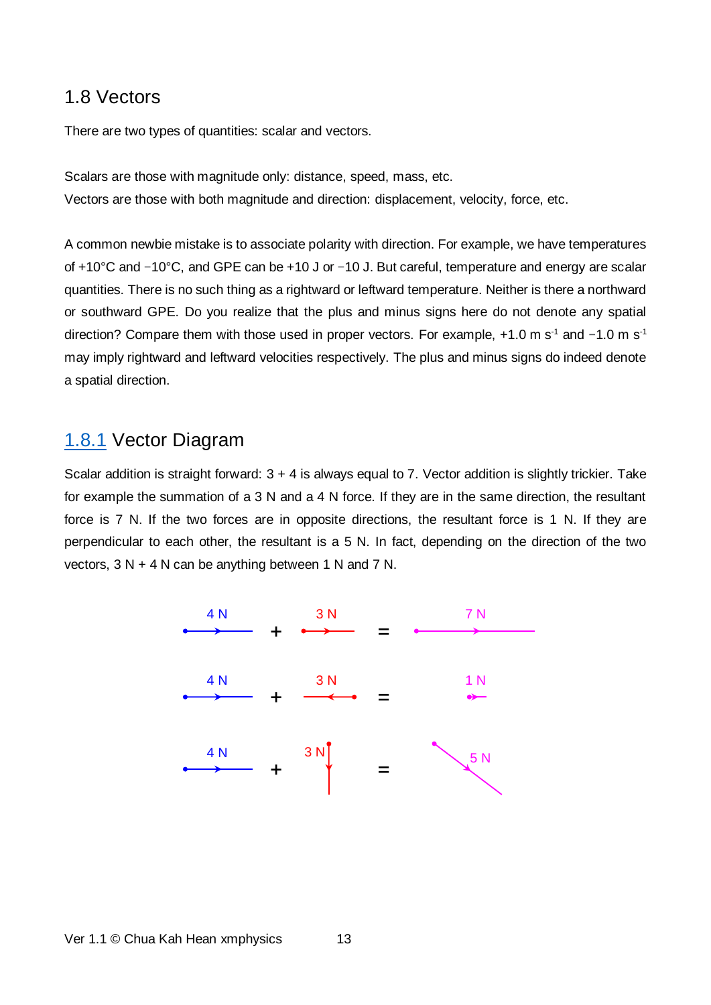#### <span id="page-12-0"></span>1.8 Vectors

There are two types of quantities: scalar and vectors.

Scalars are those with magnitude only: distance, speed, mass, etc. Vectors are those with both magnitude and direction: displacement, velocity, force, etc.

A common newbie mistake is to associate polarity with direction. For example, we have temperatures of +10°C and −10°C, and GPE can be +10 J or −10 J. But careful, temperature and energy are scalar quantities. There is no such thing as a rightward or leftward temperature. Neither is there a northward or southward GPE. Do you realize that the plus and minus signs here do not denote any spatial direction? Compare them with those used in proper vectors. For example, +1.0 m s<sup>-1</sup> and −1.0 m s<sup>-1</sup> may imply rightward and leftward velocities respectively. The plus and minus signs do indeed denote a spatial direction.

### <span id="page-12-1"></span>[1.8.1](http://www.xmphysics.com/1.8.1) Vector Diagram

Scalar addition is straight forward: 3 + 4 is always equal to 7. Vector addition is slightly trickier. Take for example the summation of a 3 N and a 4 N force. If they are in the same direction, the resultant force is 7 N. If the two forces are in opposite directions, the resultant force is 1 N. If they are perpendicular to each other, the resultant is a 5 N. In fact, depending on the direction of the two vectors, 3 N + 4 N can be anything between 1 N and 7 N.

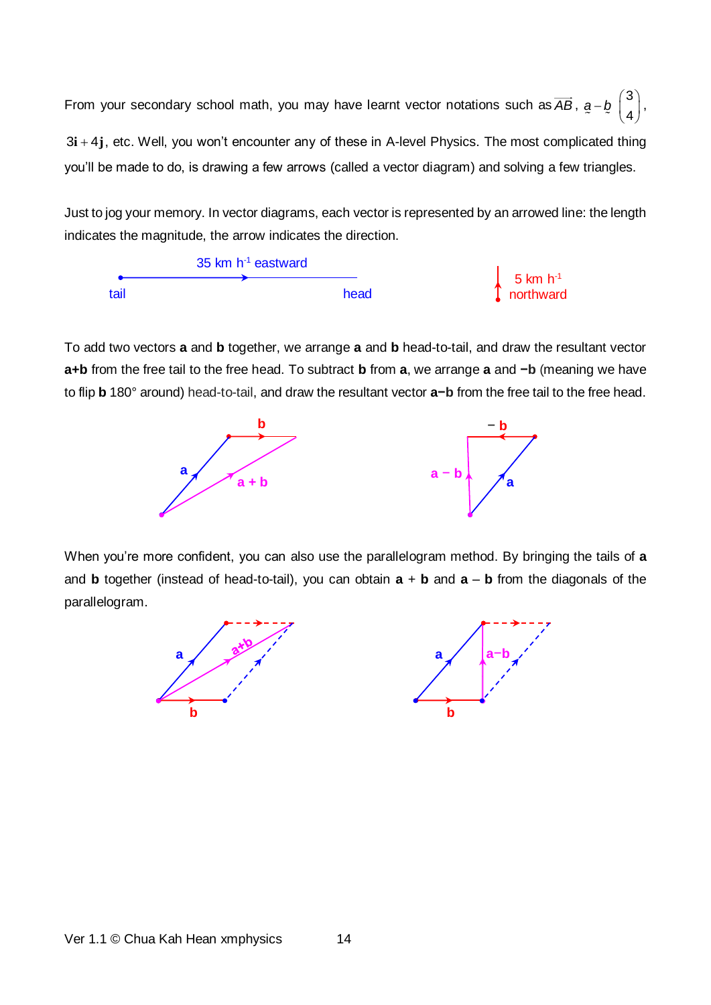From your secondary school math, you may have learnt vector notations such as  $\overline{AB}$ ,  $a - b$   $\begin{pmatrix} 3 & 1 \\ 1 & 3 \end{pmatrix}$  $\binom{3}{4}$ , 3**i** + 4 $\mathbf{j}$ , etc. Well, you won't encounter any of these in A-level Physics. The most complicated thing you'll be made to do, is drawing a few arrows (called a vector diagram) and solving a few triangles.

Just to jog your memory. In vector diagrams, each vector is represented by an arrowed line: the length indicates the magnitude, the arrow indicates the direction.



To add two vectors **a** and **b** together, we arrange **a** and **b** head-to-tail, and draw the resultant vector **a+b** from the free tail to the free head. To subtract **b** from **a**, we arrange **a** and **−b** (meaning we have to flip **b** 180° around) head-to-tail, and draw the resultant vector **a−b** from the free tail to the free head.



When you're more confident, you can also use the parallelogram method. By bringing the tails of **a** and **b** together (instead of head-to-tail), you can obtain **a** + **b** and **a** – **b** from the diagonals of the parallelogram.

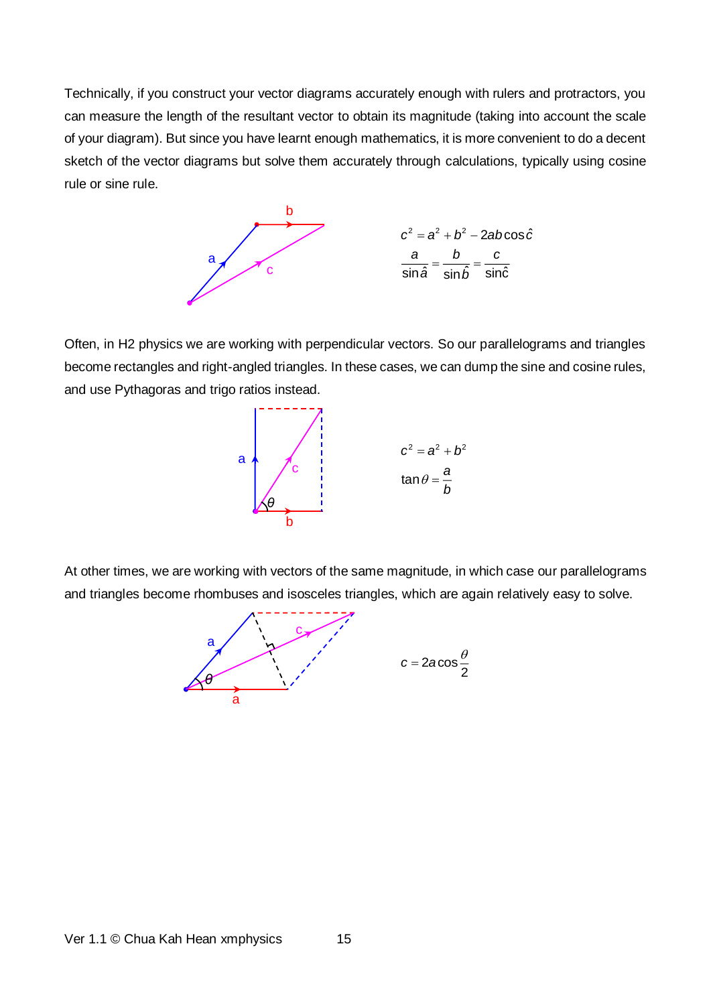Technically, if you construct your vector diagrams accurately enough with rulers and protractors, you can measure the length of the resultant vector to obtain its magnitude (taking into account the scale of your diagram). But since you have learnt enough mathematics, it is more convenient to do a decent sketch of the vector diagrams but solve them accurately through calculations, typically using cosine rule or sine rule.



Often, in H2 physics we are working with perpendicular vectors. So our parallelograms and triangles become rectangles and right-angled triangles. In these cases, we can dump the sine and cosine rules, and use Pythagoras and trigo ratios instead.



At other times, we are working with vectors of the same magnitude, in which case our parallelograms and triangles become rhombuses and isosceles triangles, which are again relatively easy to solve.